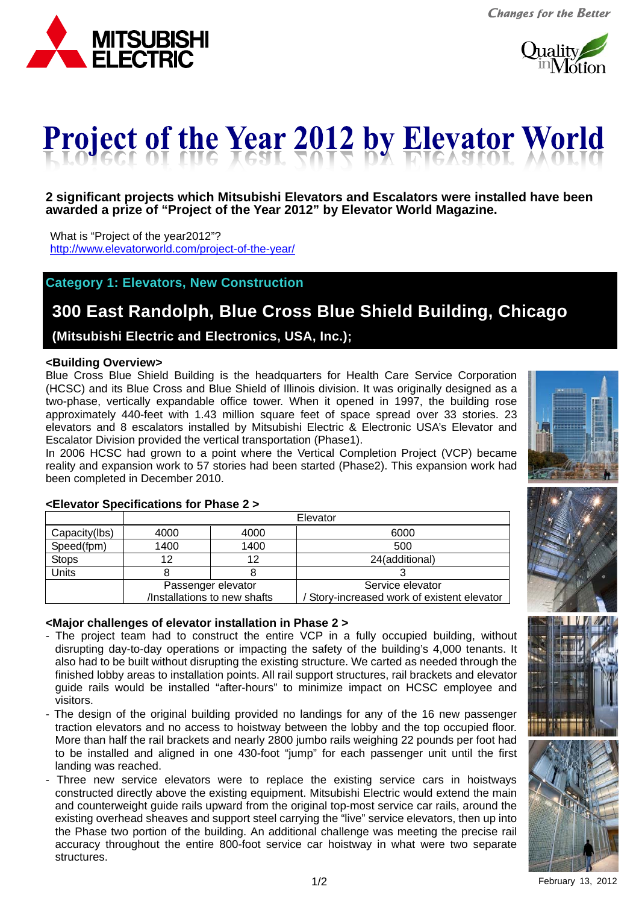



# ł Ļ

#### **2 significant projects which Mitsubishi Elevators and Escalators were installed have been awarded a prize of "Project of the Year 2012" by Elevator World Magazine.**

What is "Project of the year2012"? http://www.elevatorworld.com/project-of-the-year/

#### **Category 1: Elevators, New Construction**

# **300 East Randolph, Blue Cross Blue Shield Building, Chicago**

 **(Mitsubishi Electric and Electronics, USA, Inc.);** 

#### **<Building Overview>**

Blue Cross Blue Shield Building is the headquarters for Health Care Service Corporation (HCSC) and its Blue Cross and Blue Shield of Illinois division. It was originally designed as a two-phase, vertically expandable office tower. When it opened in 1997, the building rose approximately 440-feet with 1.43 million square feet of space spread over 33 stories. 23 elevators and 8 escalators installed by Mitsubishi Electric & Electronic USA's Elevator and Escalator Division provided the vertical transportation (Phase1).

In 2006 HCSC had grown to a point where the Vertical Completion Project (VCP) became reality and expansion work to 57 stories had been started (Phase2). This expansion work had been completed in December 2010.

| ,,,,,,,,,, |   |  |
|------------|---|--|
| ---        |   |  |
|            |   |  |
|            | į |  |
|            |   |  |
|            |   |  |



### **<Elevator Specifications for Phase 2 >**

|               | Elevator                     |                    |                                           |  |
|---------------|------------------------------|--------------------|-------------------------------------------|--|
| Capacity(lbs) | 4000                         | 4000               | 6000                                      |  |
| Speed(fpm)    | 1400                         | 1400               | 500                                       |  |
| <b>Stops</b>  | 12                           | 12                 | 24(additional)                            |  |
| Units         |                              |                    |                                           |  |
|               |                              | Passenger elevator | Service elevator                          |  |
|               | /Installations to new shafts |                    | Story-increased work of existent elevator |  |

#### **<Major challenges of elevator installation in Phase 2 >**

- The project team had to construct the entire VCP in a fully occupied building, without disrupting day-to-day operations or impacting the safety of the building's 4,000 tenants. It also had to be built without disrupting the existing structure. We carted as needed through the finished lobby areas to installation points. All rail support structures, rail brackets and elevator guide rails would be installed "after-hours" to minimize impact on HCSC employee and visitors.
- The design of the original building provided no landings for any of the 16 new passenger traction elevators and no access to hoistway between the lobby and the top occupied floor. More than half the rail brackets and nearly 2800 jumbo rails weighing 22 pounds per foot had to be installed and aligned in one 430-foot "jump" for each passenger unit until the first landing was reached.
- Three new service elevators were to replace the existing service cars in hoistways constructed directly above the existing equipment. Mitsubishi Electric would extend the main and counterweight guide rails upward from the original top-most service car rails, around the existing overhead sheaves and support steel carrying the "live" service elevators, then up into the Phase two portion of the building. An additional challenge was meeting the precise rail accuracy throughout the entire 800-foot service car hoistway in what were two separate structures.